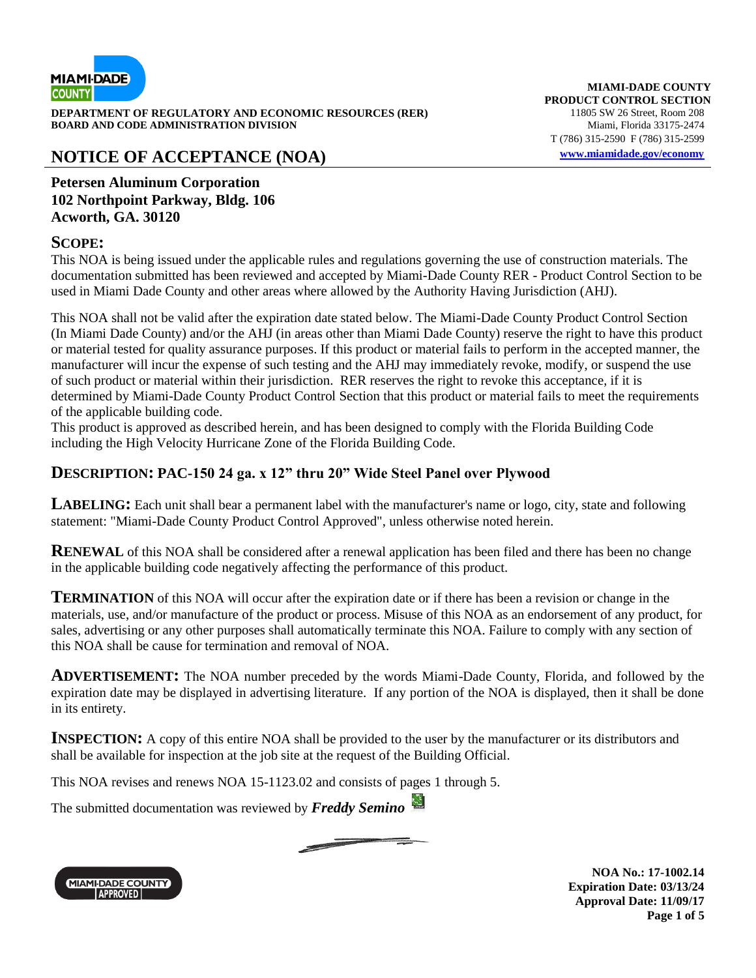

**DEPARTMENT OF REGULATORY AND ECONOMIC RESOURCES (RER)** 11805 SW 26 Street, Room 208<br>**BOARD AND CODE ADMINISTRATION DIVISION** 11805 SW 26 Miami. Florida 33175-2474 **BOARD AND CODE ADMINISTRATION DIVISION** 

### **NOTICE OF ACCEPTANCE (NOA) [www.miamidade.gov/economy](http://www.miamidade.gov/economy)**

**MIAMI-DADE COUNTY PRODUCT CONTROL SECTION** T (786) 315-2590 F (786) 315-2599

**Petersen Aluminum Corporation 102 Northpoint Parkway, Bldg. 106 Acworth, GA. 30120**

#### **SCOPE:**

This NOA is being issued under the applicable rules and regulations governing the use of construction materials. The documentation submitted has been reviewed and accepted by Miami-Dade County RER - Product Control Section to be used in Miami Dade County and other areas where allowed by the Authority Having Jurisdiction (AHJ).

This NOA shall not be valid after the expiration date stated below. The Miami-Dade County Product Control Section (In Miami Dade County) and/or the AHJ (in areas other than Miami Dade County) reserve the right to have this product or material tested for quality assurance purposes. If this product or material fails to perform in the accepted manner, the manufacturer will incur the expense of such testing and the AHJ may immediately revoke, modify, or suspend the use of such product or material within their jurisdiction. RER reserves the right to revoke this acceptance, if it is determined by Miami-Dade County Product Control Section that this product or material fails to meet the requirements of the applicable building code.

This product is approved as described herein, and has been designed to comply with the Florida Building Code including the High Velocity Hurricane Zone of the Florida Building Code.

#### **DESCRIPTION: PAC-150 24 ga. x 12" thru 20" Wide Steel Panel over Plywood**

**LABELING:** Each unit shall bear a permanent label with the manufacturer's name or logo, city, state and following statement: "Miami-Dade County Product Control Approved", unless otherwise noted herein.

**RENEWAL** of this NOA shall be considered after a renewal application has been filed and there has been no change in the applicable building code negatively affecting the performance of this product.

**TERMINATION** of this NOA will occur after the expiration date or if there has been a revision or change in the materials, use, and/or manufacture of the product or process. Misuse of this NOA as an endorsement of any product, for sales, advertising or any other purposes shall automatically terminate this NOA. Failure to comply with any section of this NOA shall be cause for termination and removal of NOA.

**ADVERTISEMENT:** The NOA number preceded by the words Miami-Dade County, Florida, and followed by the expiration date may be displayed in advertising literature. If any portion of the NOA is displayed, then it shall be done in its entirety.

**INSPECTION:** A copy of this entire NOA shall be provided to the user by the manufacturer or its distributors and shall be available for inspection at the job site at the request of the Building Official.

This NOA revises and renews NOA 15-1123.02 and consists of pages 1 through 5.

The submitted documentation was reviewed by *Freddy Semino*

<u> 2000 - 2000 - 2000 - 2000 - 2000 - 2000 - 2000 - 2000 - 2000 - 2000 - 2000 - 2000 - 2000 - 2000 - 2000 - 200</u>



**NOA No.: 17-1002.14 Expiration Date: 03/13/24 Approval Date: 11/09/17 Page 1 of 5**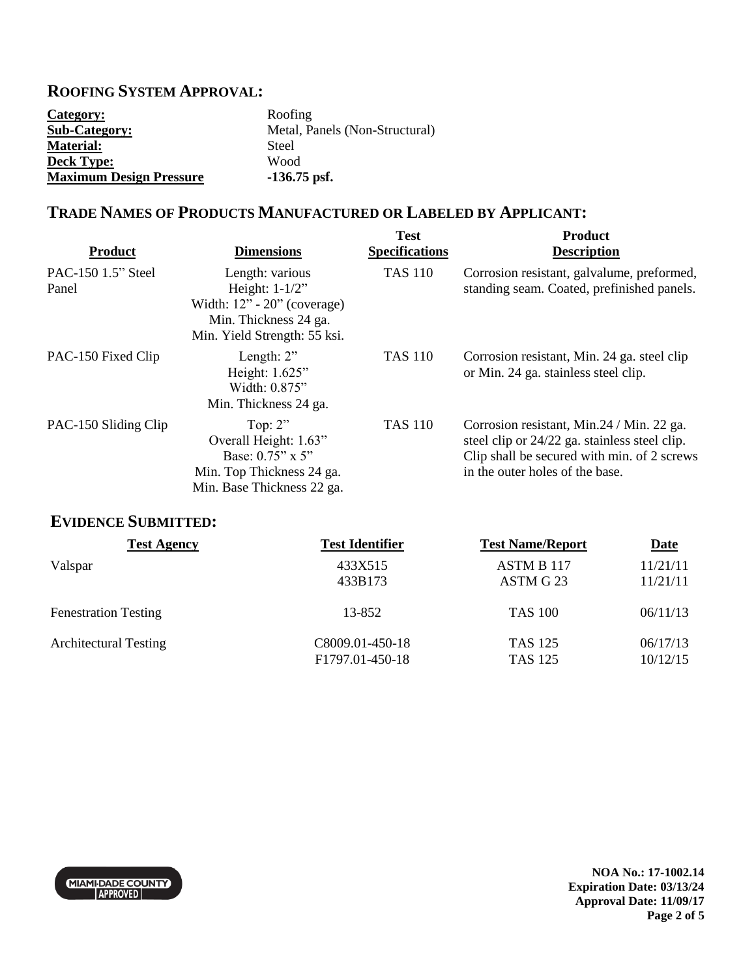## **ROOFING SYSTEM APPROVAL:**

| Category:                      | Roofing                        |
|--------------------------------|--------------------------------|
| <b>Sub-Category:</b>           | Metal, Panels (Non-Structural) |
| <b>Material:</b>               | Steel                          |
| <b>Deck Type:</b>              | Wood                           |
| <b>Maximum Design Pressure</b> | $-136.75$ psf.                 |

### **TRADE NAMES OF PRODUCTS MANUFACTURED OR LABELED BY APPLICANT:**

| <b>Product</b>              | <b>Dimensions</b>                                                                                                              | <b>Test</b><br><b>Specifications</b> | <b>Product</b><br><b>Description</b>                                                                                                                                          |
|-----------------------------|--------------------------------------------------------------------------------------------------------------------------------|--------------------------------------|-------------------------------------------------------------------------------------------------------------------------------------------------------------------------------|
| PAC-150 1.5" Steel<br>Panel | Length: various<br>Height: $1-1/2$ "<br>Width: $12" - 20"$ (coverage)<br>Min. Thickness 24 ga.<br>Min. Yield Strength: 55 ksi. | <b>TAS 110</b>                       | Corrosion resistant, galvalume, preformed,<br>standing seam. Coated, prefinished panels.                                                                                      |
| PAC-150 Fixed Clip          | Length: $2$ "<br>Height: 1.625"<br>Width: 0.875"<br>Min. Thickness 24 ga.                                                      | <b>TAS 110</b>                       | Corrosion resistant, Min. 24 ga. steel clip<br>or Min. 24 ga. stainless steel clip.                                                                                           |
| PAC-150 Sliding Clip        | Top: $2$ "<br>Overall Height: 1.63"<br>Base: 0.75" x 5"<br>Min. Top Thickness 24 ga.<br>Min. Base Thickness 22 ga.             | <b>TAS 110</b>                       | Corrosion resistant, Min. 24 / Min. 22 ga.<br>steel clip or 24/22 ga. stainless steel clip.<br>Clip shall be secured with min. of 2 screws<br>in the outer holes of the base. |

# **EVIDENCE SUBMITTED:**

| <b>Test Agency</b>           | <b>Test Identifier</b>                          | <b>Test Name/Report</b>          | <b>Date</b>          |
|------------------------------|-------------------------------------------------|----------------------------------|----------------------|
| Valspar                      | 433X515                                         | ASTM B 117                       | 11/21/11             |
|                              | 433B173                                         | ASTM G 23                        | 11/21/11             |
| <b>Fenestration Testing</b>  | 13-852                                          | <b>TAS 100</b>                   | 06/11/13             |
| <b>Architectural Testing</b> | C8009.01-450-18<br>F <sub>1797.01</sub> -450-18 | <b>TAS 125</b><br><b>TAS 125</b> | 06/17/13<br>10/12/15 |



**NOA No.: 17-1002.14 Expiration Date: 03/13/24 Approval Date: 11/09/17 Page 2 of 5**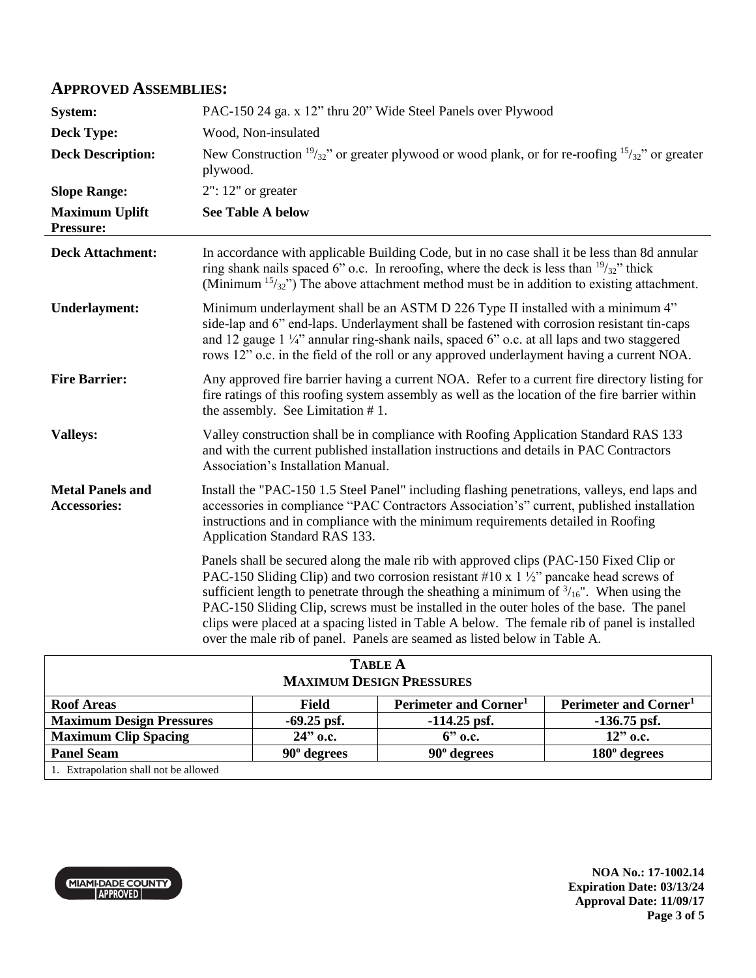#### **APPROVED ASSEMBLIES:**

| <b>System:</b>                                 | PAC-150 24 ga. x 12" thru 20" Wide Steel Panels over Plywood                                                                                                                                                                                                                                                                                                                                                                                                                                                                                                             |  |  |
|------------------------------------------------|--------------------------------------------------------------------------------------------------------------------------------------------------------------------------------------------------------------------------------------------------------------------------------------------------------------------------------------------------------------------------------------------------------------------------------------------------------------------------------------------------------------------------------------------------------------------------|--|--|
| <b>Deck Type:</b>                              | Wood, Non-insulated                                                                                                                                                                                                                                                                                                                                                                                                                                                                                                                                                      |  |  |
| <b>Deck Description:</b>                       | New Construction $\frac{19}{32}$ " or greater plywood or wood plank, or for re-roofing $\frac{15}{32}$ " or greater<br>plywood.                                                                                                                                                                                                                                                                                                                                                                                                                                          |  |  |
| <b>Slope Range:</b>                            | $2"$ : 12" or greater                                                                                                                                                                                                                                                                                                                                                                                                                                                                                                                                                    |  |  |
| <b>Maximum Uplift</b><br>Pressure:             | <b>See Table A below</b>                                                                                                                                                                                                                                                                                                                                                                                                                                                                                                                                                 |  |  |
| <b>Deck Attachment:</b>                        | In accordance with applicable Building Code, but in no case shall it be less than 8d annular<br>ring shank nails spaced 6" o.c. In reroofing, where the deck is less than $\frac{19}{32}$ " thick<br>(Minimum $15/32$ ) The above attachment method must be in addition to existing attachment.                                                                                                                                                                                                                                                                          |  |  |
| <b>Underlayment:</b>                           | Minimum underlayment shall be an ASTM D 226 Type II installed with a minimum 4"<br>side-lap and 6" end-laps. Underlayment shall be fastened with corrosion resistant tin-caps<br>and 12 gauge $1\frac{1}{4}$ annular ring-shank nails, spaced 6" o.c. at all laps and two staggered<br>rows 12" o.c. in the field of the roll or any approved underlayment having a current NOA.                                                                                                                                                                                         |  |  |
| <b>Fire Barrier:</b>                           | Any approved fire barrier having a current NOA. Refer to a current fire directory listing for<br>fire ratings of this roofing system assembly as well as the location of the fire barrier within<br>the assembly. See Limitation #1.                                                                                                                                                                                                                                                                                                                                     |  |  |
| <b>Valleys:</b>                                | Valley construction shall be in compliance with Roofing Application Standard RAS 133<br>and with the current published installation instructions and details in PAC Contractors<br>Association's Installation Manual.                                                                                                                                                                                                                                                                                                                                                    |  |  |
| <b>Metal Panels and</b><br><b>Accessories:</b> | Install the "PAC-150 1.5 Steel Panel" including flashing penetrations, valleys, end laps and<br>accessories in compliance "PAC Contractors Association's" current, published installation<br>instructions and in compliance with the minimum requirements detailed in Roofing<br>Application Standard RAS 133.                                                                                                                                                                                                                                                           |  |  |
|                                                | Panels shall be secured along the male rib with approved clips (PAC-150 Fixed Clip or<br>PAC-150 Sliding Clip) and two corrosion resistant #10 x 1 $\frac{1}{2}$ " pancake head screws of<br>sufficient length to penetrate through the sheathing a minimum of $\frac{3}{16}$ ". When using the<br>PAC-150 Sliding Clip, screws must be installed in the outer holes of the base. The panel<br>clips were placed at a spacing listed in Table A below. The female rib of panel is installed<br>over the male rib of panel. Panels are seamed as listed below in Table A. |  |  |
| $\mathbf{r}$ . $\mathbf{r}$                    |                                                                                                                                                                                                                                                                                                                                                                                                                                                                                                                                                                          |  |  |

| <b>TABLE A</b>                        |                    |                                   |                                   |  |  |  |
|---------------------------------------|--------------------|-----------------------------------|-----------------------------------|--|--|--|
| <b>MAXIMUM DESIGN PRESSURES</b>       |                    |                                   |                                   |  |  |  |
| <b>Roof Areas</b>                     | <b>Field</b>       | Perimeter and Corner <sup>1</sup> | Perimeter and Corner <sup>1</sup> |  |  |  |
| <b>Maximum Design Pressures</b>       | $-69.25$ psf.      | $-114.25$ psf.                    | $-136.75$ psf.                    |  |  |  |
| <b>Maximum Clip Spacing</b>           | $24"$ o.c.         | $6$ " o.c.                        | $12"$ o.c.                        |  |  |  |
| <b>Panel Seam</b>                     | $90^\circ$ degrees | $90^\circ$ degrees                | $180^\circ$ degrees               |  |  |  |
| 1. Extrapolation shall not be allowed |                    |                                   |                                   |  |  |  |



**NOA No.: 17-1002.14 Expiration Date: 03/13/24 Approval Date: 11/09/17 Page 3 of 5**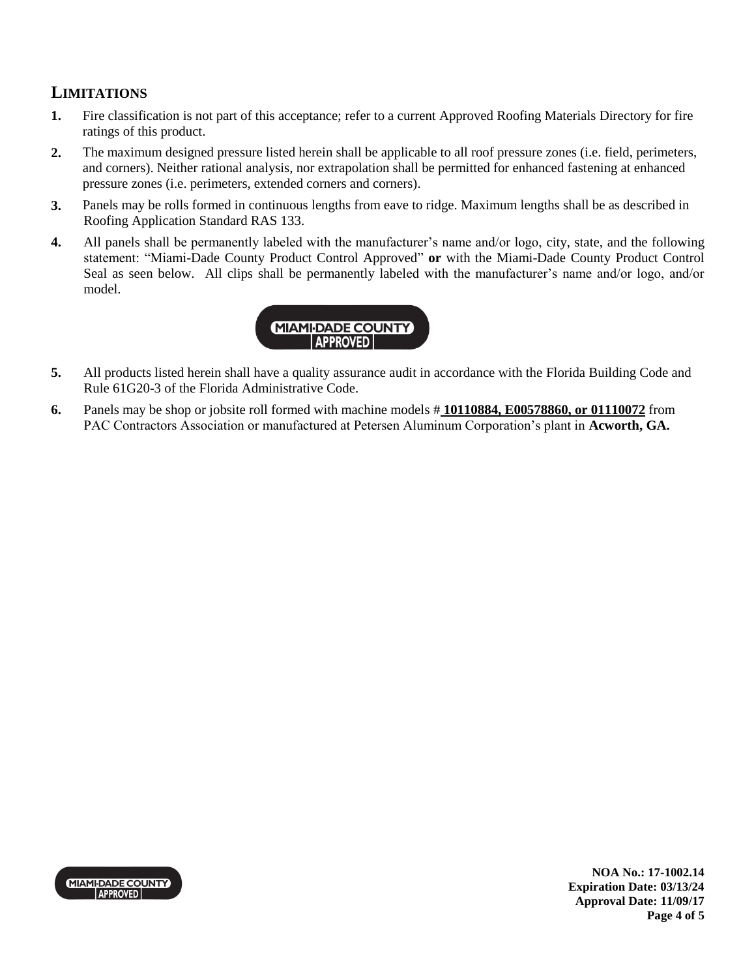## **LIMITATIONS**

- **1.** Fire classification is not part of this acceptance; refer to a current Approved Roofing Materials Directory for fire ratings of this product.
- **2.** The maximum designed pressure listed herein shall be applicable to all roof pressure zones (i.e. field, perimeters, and corners). Neither rational analysis, nor extrapolation shall be permitted for enhanced fastening at enhanced pressure zones (i.e. perimeters, extended corners and corners).
- **3.** Panels may be rolls formed in continuous lengths from eave to ridge. Maximum lengths shall be as described in Roofing Application Standard RAS 133.
- **4.** All panels shall be permanently labeled with the manufacturer's name and/or logo, city, state, and the following statement: "Miami-Dade County Product Control Approved" **or** with the Miami-Dade County Product Control Seal as seen below. All clips shall be permanently labeled with the manufacturer's name and/or logo, and/or model.



- **5.** All products listed herein shall have a quality assurance audit in accordance with the Florida Building Code and Rule 61G20-3 of the Florida Administrative Code.
- **6.** Panels may be shop or jobsite roll formed with machine models # **10110884, E00578860, or 01110072** from PAC Contractors Association or manufactured at Petersen Aluminum Corporation's plant in **Acworth, GA.**



**NOA No.: 17-1002.14 Expiration Date: 03/13/24 Approval Date: 11/09/17 Page 4 of 5**